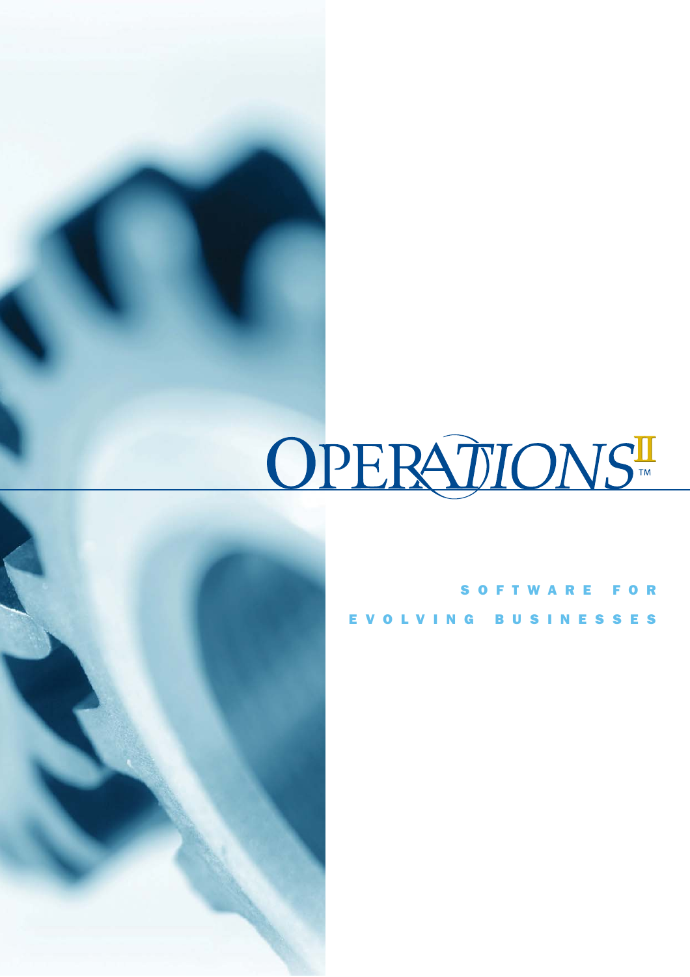# OPERATIONS



|  |  |  |  |  | SOFTWARE FOR        |  |  |  |  |
|--|--|--|--|--|---------------------|--|--|--|--|
|  |  |  |  |  | EVOLVING BUSINESSES |  |  |  |  |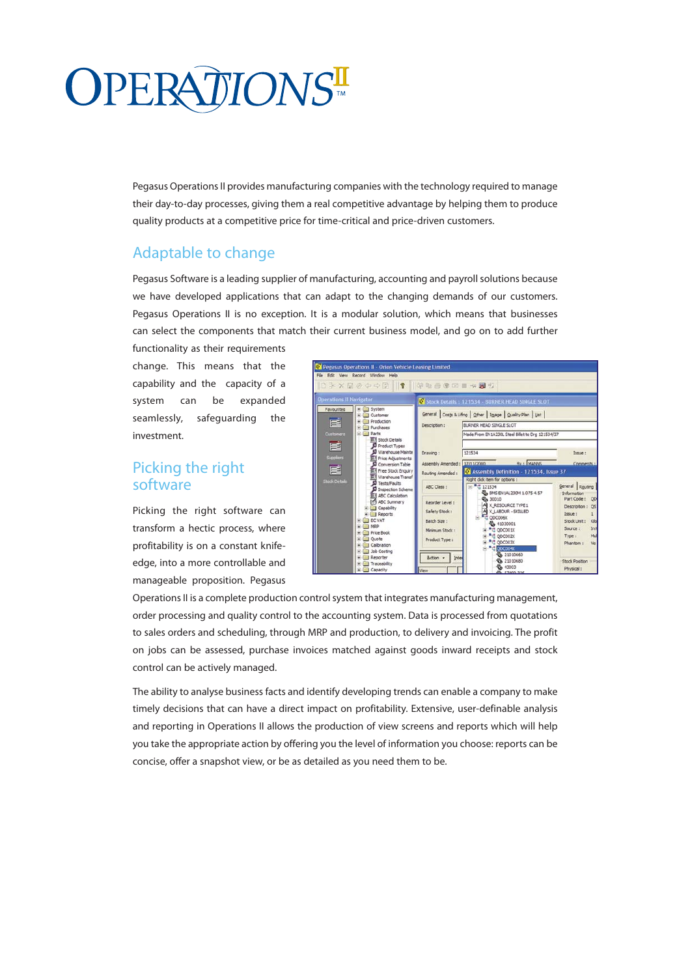# **OPERATIONST**

Pegasus Operations II provides manufacturing companies with the technology required to manage their day-to-day processes, giving them a real competitive advantage by helping them to produce quality products at a competitive price for time-critical and price-driven customers.

# Adaptable to change

Pegasus Software is a leading supplier of manufacturing, accounting and payroll solutions because we have developed applications that can adapt to the changing demands of our customers. Pegasus Operations II is no exception. It is a modular solution, which means that businesses can select the components that match their current business model, and go on to add further

functionality as their requirements change. This means that the capability and the capacity of a system can be expanded seamlessly, safeguarding the investment.

## Picking the right software

Picking the right software can transform a hectic process, where profitability is on a constant knifeedge, into a more controllable and manageable proposition. Pegasus



Operations II is a complete production control system that integrates manufacturing management, order processing and quality control to the accounting system. Data is processed from quotations to sales orders and scheduling, through MRP and production, to delivery and invoicing. The profit on jobs can be assessed, purchase invoices matched against goods inward receipts and stock control can be actively managed.

The ability to analyse business facts and identify developing trends can enable a company to make timely decisions that can have a direct impact on profitability. Extensive, user-definable analysis and reporting in Operations II allows the production of view screens and reports which will help you take the appropriate action by offering you the level of information you choose: reports can be concise, offer a snapshot view, or be as detailed as you need them to be.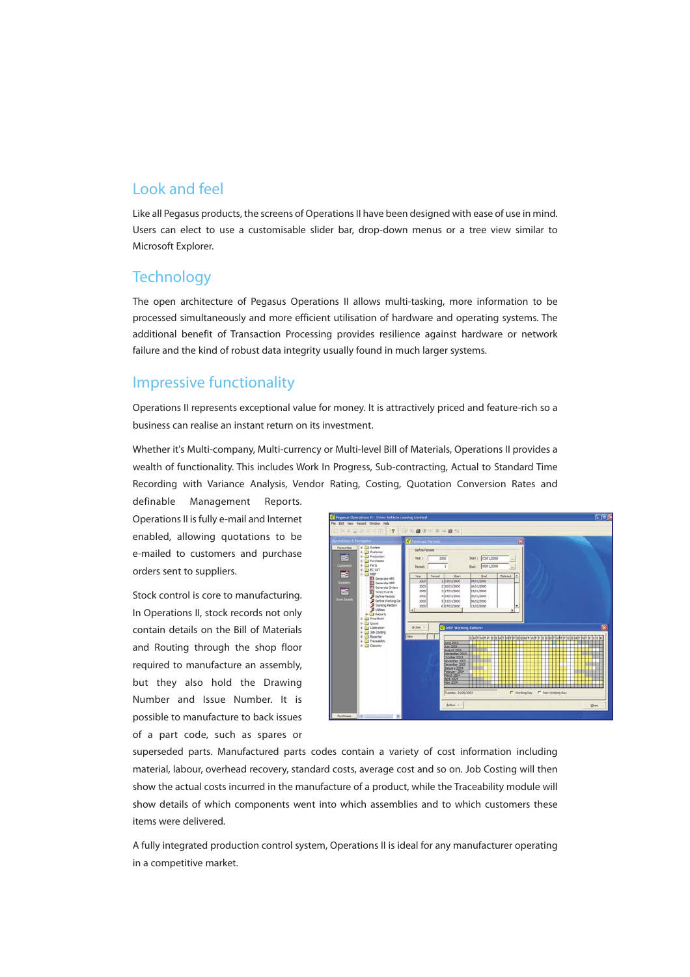# Look and feel

Like all Pegasus products, the screens of Operations II have been designed with ease of use in mind. Users can elect to use a customisable slider bar, drop-down menus or a tree view similar to Microsoft Explorer.

#### **Technology**

The open architecture of Pegasus Operations II allows multi-tasking, more information to be processed simultaneously and more efficient utilisation of hardware and operating systems. The additional benefit of Transaction Processing provides resilience against hardware or network failure and the kind of robust data integrity usually found in much larger systems.

#### Impressive functionality

Operations II represents exceptional value for money. It is attractively priced and feature-rich so a business can realise an instant return on its investment.

Whether it's Multi-company, Multi-currency or Multi-level Bill of Materials, Operations II provides a wealth of functionality. This includes Work In Progress, Sub-contracting, Actual to Standard Time Recording with Variance Analysis, Vendor Rating, Costing, Quotation Conversion Rates and

definable Management Reports. Operations II is fully e-mail and Internet enabled, allowing quotations to be e-mailed to customers and purchase orders sent to suppliers.

Stock control is core to manufacturing. In Operations II, stock records not only contain details on the Bill of Materials and Routing through the shop floor required to manufacture an assembly, but they also hold the Drawing Number and Issue Number. It is possible to manufacture to back issues of a part code, such as spares or



superseded parts. Manufactured parts codes contain a variety of cost information including material, labour, overhead recovery, standard costs, average cost and so on. Job Costing will then show the actual costs incurred in the manufacture of a product, while the Traceability module will show details of which components went into which assemblies and to which customers these items were delivered.

A fully integrated production control system, Operations II is ideal for any manufacturer operating in a competitive market.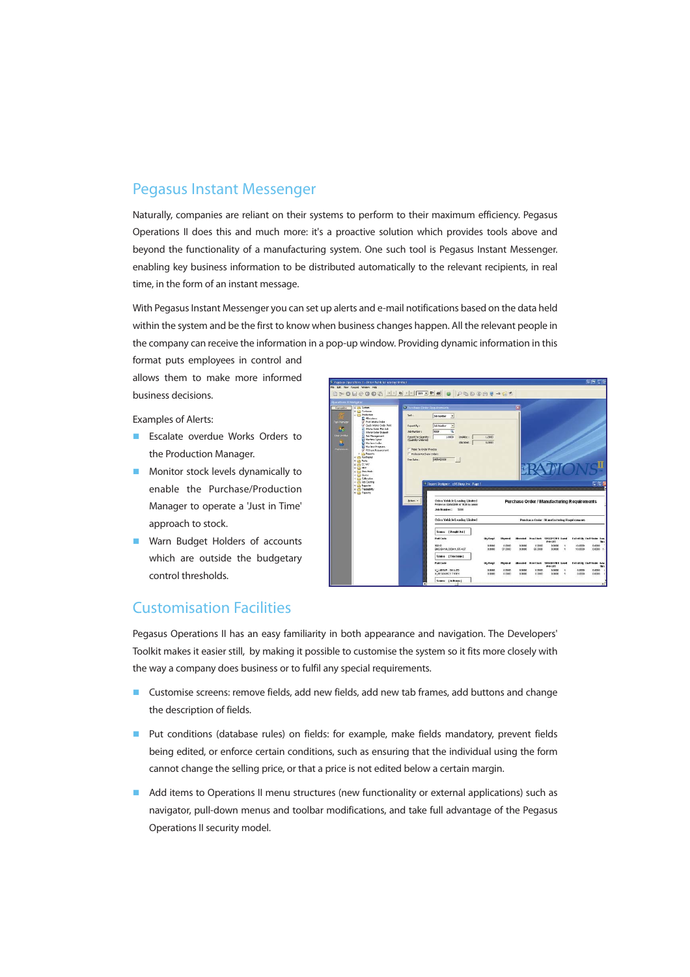### Pegasus Instant Messenger

Naturally, companies are reliant on their systems to perform to their maximum efficiency. Pegasus Operations II does this and much more: it's a proactive solution which provides tools above and beyond the functionality of a manufacturing system. One such tool is Pegasus Instant Messenger. enabling key business information to be distributed automatically to the relevant recipients, in real time, in the form of an instant message.

With Pegasus Instant Messenger you can set up alerts and e-mail notifications based on the data held within the system and be the first to know when business changes happen. All the relevant people in the company can receive the information in a pop-up window. Providing dynamic information in this

format puts employees in control and allows them to make more informed business decisions.

Examples of Alerts:

- **E** Escalate overdue Works Orders to the Production Manager.
- **Monitor stock levels dynamically to** enable the Purchase/Production Manager to operate a 'Just in Time' approach to stock.
- Warn Budget Holders of accounts which are outside the budgetary control thresholds.



### Customisation Facilities

Pegasus Operations II has an easy familiarity in both appearance and navigation. The Developers' Toolkit makes it easier still, by making it possible to customise the system so it fits more closely with the way a company does business or to fulfil any special requirements.

- **Customise screens: remove fields, add new fields, add new tab frames, add buttons and change** the description of fields.
- **Put conditions (database rules) on fields: for example, make fields mandatory, prevent fields** being edited, or enforce certain conditions, such as ensuring that the individual using the form cannot change the selling price, or that a price is not edited below a certain margin.
- Add items to Operations II menu structures (new functionality or external applications) such as navigator, pull-down menus and toolbar modifications, and take full advantage of the Pegasus Operations II security model.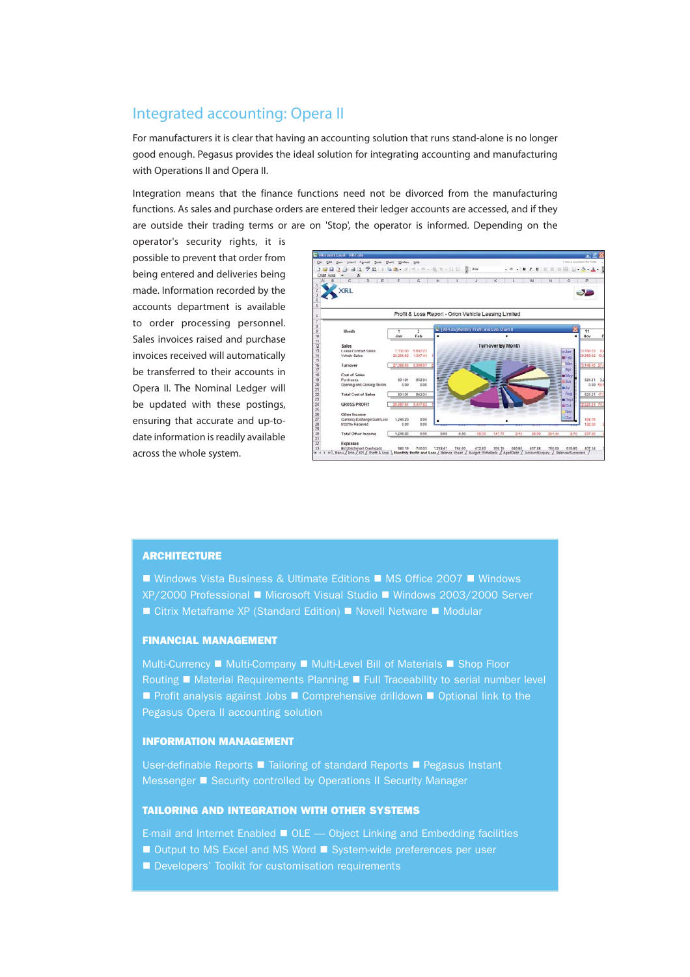#### Integrated accounting: Opera II

For manufacturers it is clear that having an accounting solution that runs stand-alone is no longer good enough. Pegasus provides the ideal solution for integrating accounting and manufacturing with Operations II and Opera II.

Integration means that the finance functions need not be divorced from the manufacturing functions. As sales and purchase orders are entered their ledger accounts are accessed, and if they are outside their trading terms or are on 'Stop', the operator is informed. Depending on the

operator's security rights, it is possible to prevent that order from being entered and deliveries being made. Information recorded by the accounts department is available to order processing personnel. Sales invoices raised and purchase invoices received will automatically be transferred to their accounts in Opera II. The Nominal Ledger will be updated with these postings, ensuring that accurate and up-todate information is readily available across the whole system.



#### **ARCHITECTURE**

■ Windows Vista Business & Ultimate Editions ■ MS Office 2007 ■ Windows XP/2000 Professional ■ Microsoft Visual Studio ■ Windows 2003/2000 Server  $\blacksquare$  Citrix Metaframe XP (Standard Edition)  $\blacksquare$  Novell Netware  $\blacksquare$  Modular

#### FINANCIAL MANAGEMENT

Multi-Currency ■ Multi-Company ■ Multi-Level Bill of Materials ■ Shop Floor Routing ■ Material Requirements Planning ■ Full Traceability to serial number level **Profit analysis against Jobs E Comprehensive drilldown E Optional link to the** Pegasus Opera II accounting solution

#### INFORMATION MANAGEMENT

User-definable Reports ■ Tailoring of standard Reports ■ Pegasus Instant Messenger **E** Security controlled by Operations II Security Manager

#### TAILORING AND INTEGRATION WITH OTHER SYSTEMS

E-mail and Internet Enabled  $\blacksquare$  OLE  $\smile$  Object Linking and Embedding facilities

- Output to MS Excel and MS Word System-wide preferences per user
- Developers' Toolkit for customisation requirements